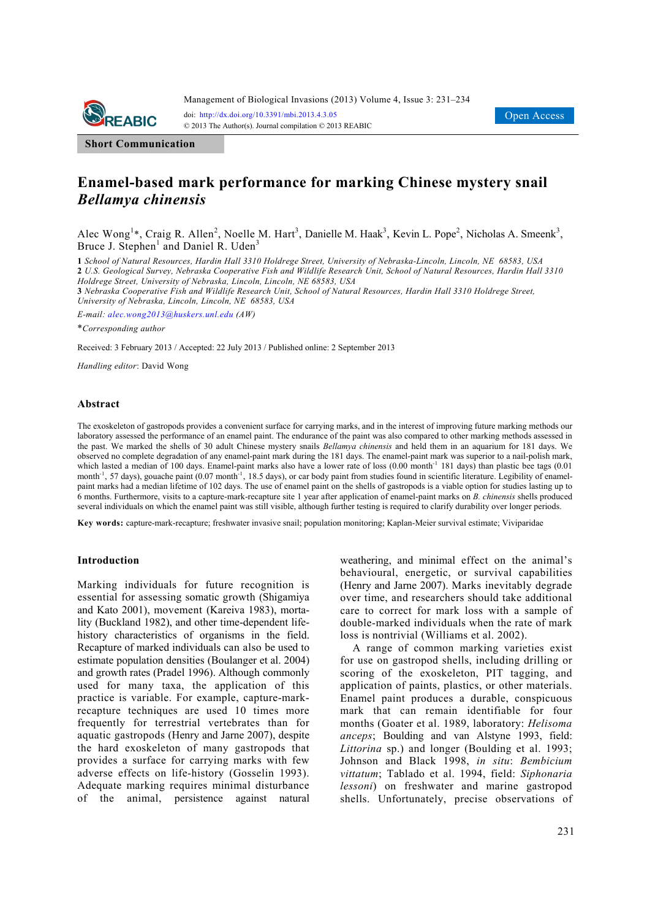

**Short Communication**

# **Enamel-based mark performance for marking Chinese mystery snail**  *Bellamya chinensis*

Alec Wong<sup>1</sup>\*, Craig R. Allen<sup>2</sup>, Noelle M. Hart<sup>3</sup>, Danielle M. Haak<sup>3</sup>, Kevin L. Pope<sup>2</sup>, Nicholas A. Smeenk<sup>3</sup>, Bruce J. Stephen<sup>1</sup> and Daniel R. Uden<sup>3</sup>

**1** *School of Natural Resources, Hardin Hall 3310 Holdrege Street, University of Nebraska-Lincoln, Lincoln, NE 68583, USA*  **2** *U.S. Geological Survey, Nebraska Cooperative Fish and Wildlife Research Unit, School of Natural Resources, Hardin Hall 3310 Holdrege Street, University of Nebraska, Lincoln, Lincoln, NE 68583, USA* 

**3** *Nebraska Cooperative Fish and Wildlife Research Unit, School of Natural Resources, Hardin Hall 3310 Holdrege Street, University of Nebraska, Lincoln, Lincoln, NE 68583, USA* 

*E-mail: alec.wong2013@huskers.unl.edu (AW)*

\**Corresponding author* 

Received: 3 February 2013 / Accepted: 22 July 2013 / Published online: 2 September 2013

*Handling editor*: David Wong

### **Abstract**

The exoskeleton of gastropods provides a convenient surface for carrying marks, and in the interest of improving future marking methods our laboratory assessed the performance of an enamel paint. The endurance of the paint was also compared to other marking methods assessed in the past. We marked the shells of 30 adult Chinese mystery snails *Bellamya chinensis* and held them in an aquarium for 181 days. We observed no complete degradation of any enamel-paint mark during the 181 days. The enamel-paint mark was superior to a nail-polish mark, which lasted a median of 100 days. Enamel-paint marks also have a lower rate of loss (0.00 month<sup>-1</sup> 181 days) than plastic bee tags (0.01 month<sup>-1</sup>, 57 days), gouache paint (0.07 month<sup>-1</sup>, 18.5 days), or car body paint from studies found in scientific literature. Legibility of enamelpaint marks had a median lifetime of 102 days. The use of enamel paint on the shells of gastropods is a viable option for studies lasting up to 6 months. Furthermore, visits to a capture-mark-recapture site 1 year after application of enamel-paint marks on *B. chinensis* shells produced several individuals on which the enamel paint was still visible, although further testing is required to clarify durability over longer periods.

**Key words:** capture-mark-recapture; freshwater invasive snail; population monitoring; Kaplan-Meier survival estimate; Viviparidae

#### **Introduction**

Marking individuals for future recognition is essential for assessing somatic growth (Shigamiya and Kato 2001), movement (Kareiva 1983), mortality (Buckland 1982), and other time-dependent lifehistory characteristics of organisms in the field. Recapture of marked individuals can also be used to estimate population densities (Boulanger et al. 2004) and growth rates (Pradel 1996). Although commonly used for many taxa, the application of this practice is variable. For example, capture-markrecapture techniques are used 10 times more frequently for terrestrial vertebrates than for aquatic gastropods (Henry and Jarne 2007), despite the hard exoskeleton of many gastropods that provides a surface for carrying marks with few adverse effects on life-history (Gosselin 1993). Adequate marking requires minimal disturbance of the animal, persistence against natural weathering, and minimal effect on the animal's behavioural, energetic, or survival capabilities (Henry and Jarne 2007). Marks inevitably degrade over time, and researchers should take additional care to correct for mark loss with a sample of double-marked individuals when the rate of mark loss is nontrivial (Williams et al. 2002).

A range of common marking varieties exist for use on gastropod shells, including drilling or scoring of the exoskeleton, PIT tagging, and application of paints, plastics, or other materials. Enamel paint produces a durable, conspicuous mark that can remain identifiable for four months (Goater et al. 1989, laboratory: *Helisoma anceps*; Boulding and van Alstyne 1993, field: *Littorina* sp.) and longer (Boulding et al. 1993; Johnson and Black 1998, *in situ*: *Bembicium vittatum*; Tablado et al. 1994, field: *Siphonaria lessoni*) on freshwater and marine gastropod shells. Unfortunately, precise observations of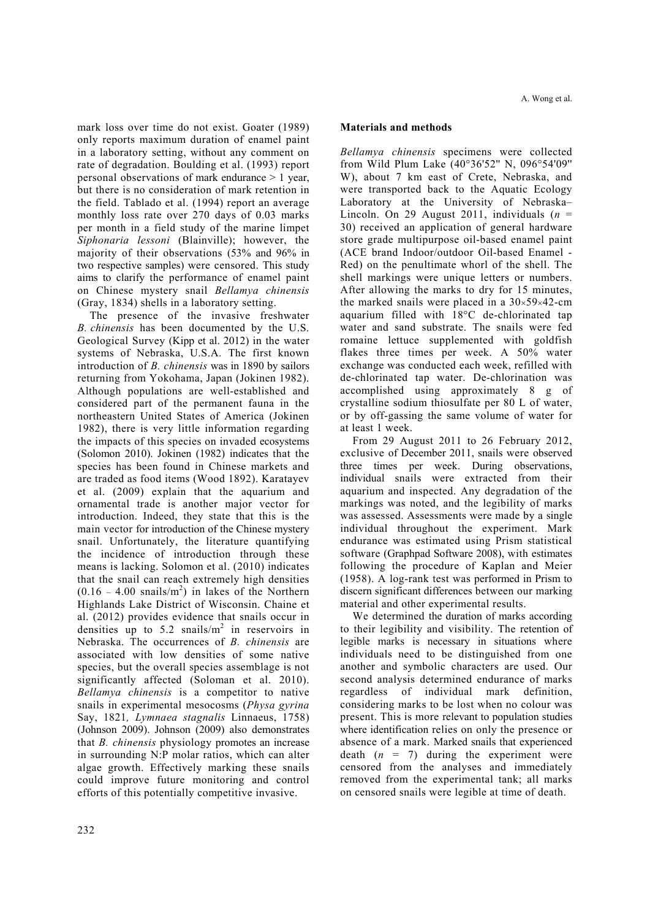mark loss over time do not exist. Goater (1989) only reports maximum duration of enamel paint in a laboratory setting, without any comment on rate of degradation. Boulding et al. (1993) report personal observations of mark endurance > 1 year, but there is no consideration of mark retention in the field. Tablado et al. (1994) report an average monthly loss rate over 270 days of 0.03 marks per month in a field study of the marine limpet *Siphonaria lessoni* (Blainville); however, the majority of their observations (53% and 96% in two respective samples) were censored. This study aims to clarify the performance of enamel paint on Chinese mystery snail *Bellamya chinensis* (Gray, 1834) shells in a laboratory setting.

The presence of the invasive freshwater *B. chinensis* has been documented by the U.S. Geological Survey (Kipp et al. 2012) in the water systems of Nebraska, U.S.A. The first known introduction of *B. chinensis* was in 1890 by sailors returning from Yokohama, Japan (Jokinen 1982). Although populations are well-established and considered part of the permanent fauna in the northeastern United States of America (Jokinen 1982), there is very little information regarding the impacts of this species on invaded ecosystems (Solomon 2010). Jokinen (1982) indicates that the species has been found in Chinese markets and are traded as food items (Wood 1892). Karatayev et al. (2009) explain that the aquarium and ornamental trade is another major vector for introduction. Indeed, they state that this is the main vector for introduction of the Chinese mystery snail. Unfortunately, the literature quantifying the incidence of introduction through these means is lacking. Solomon et al. (2010) indicates that the snail can reach extremely high densities  $(0.16 - 4.00 \text{ snails/m}^2)$  in lakes of the Northern Highlands Lake District of Wisconsin. Chaine et al. (2012) provides evidence that snails occur in densities up to 5.2 snails/ $m<sup>2</sup>$  in reservoirs in Nebraska. The occurrences of *B. chinensis* are associated with low densities of some native species, but the overall species assemblage is not significantly affected (Soloman et al. 2010). *Bellamya chinensis* is a competitor to native snails in experimental mesocosms (*Physa gyrina*  Say, 1821*, Lymnaea stagnalis* Linnaeus, 1758) (Johnson 2009). Johnson (2009) also demonstrates that *B. chinensis* physiology promotes an increase in surrounding N:P molar ratios, which can alter algae growth. Effectively marking these snails could improve future monitoring and control efforts of this potentially competitive invasive.

# **Materials and methods**

*Bellamya chinensis* specimens were collected from Wild Plum Lake (40°36'52'' N, 096°54'09'' W), about 7 km east of Crete, Nebraska, and were transported back to the Aquatic Ecology Laboratory at the University of Nebraska– Lincoln. On 29 August 2011, individuals  $(n =$ 30) received an application of general hardware store grade multipurpose oil-based enamel paint (ACE brand Indoor/outdoor Oil-based Enamel - Red) on the penultimate whorl of the shell. The shell markings were unique letters or numbers. After allowing the marks to dry for 15 minutes, the marked snails were placed in a  $30\times59\times42$ -cm aquarium filled with 18°C de-chlorinated tap water and sand substrate. The snails were fed romaine lettuce supplemented with goldfish flakes three times per week. A 50% water exchange was conducted each week, refilled with de-chlorinated tap water. De-chlorination was accomplished using approximately 8 g of crystalline sodium thiosulfate per 80 L of water, or by off-gassing the same volume of water for at least 1 week.

From 29 August 2011 to 26 February 2012, exclusive of December 2011, snails were observed three times per week. During observations, individual snails were extracted from their aquarium and inspected. Any degradation of the markings was noted, and the legibility of marks was assessed. Assessments were made by a single individual throughout the experiment. Mark endurance was estimated using Prism statistical software (Graphpad Software 2008), with estimates following the procedure of Kaplan and Meier (1958). A log-rank test was performed in Prism to discern significant differences between our marking material and other experimental results.

We determined the duration of marks according to their legibility and visibility. The retention of legible marks is necessary in situations where individuals need to be distinguished from one another and symbolic characters are used. Our second analysis determined endurance of marks regardless of individual mark definition, considering marks to be lost when no colour was present. This is more relevant to population studies where identification relies on only the presence or absence of a mark. Marked snails that experienced death  $(n = 7)$  during the experiment were censored from the analyses and immediately removed from the experimental tank; all marks on censored snails were legible at time of death.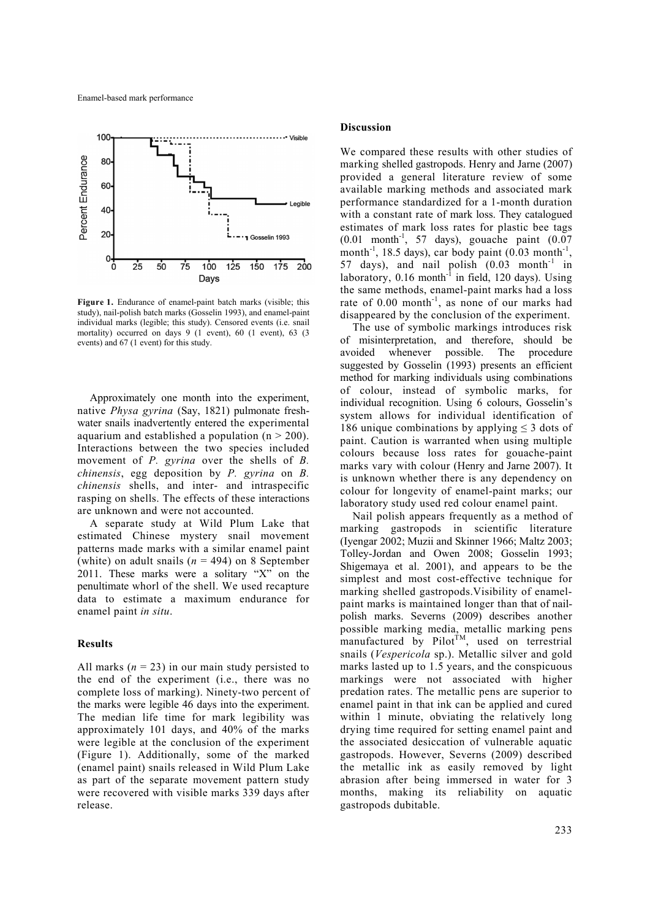

**Figure 1.** Endurance of enamel-paint batch marks (visible; this study), nail-polish batch marks (Gosselin 1993), and enamel-paint individual marks (legible; this study). Censored events (i.e. snail mortality) occurred on days 9 (1 event), 60 (1 event), 63 (3 events) and 67 (1 event) for this study.

Approximately one month into the experiment, native *Physa gyrina* (Say, 1821) pulmonate freshwater snails inadvertently entered the experimental aquarium and established a population  $(n > 200)$ . Interactions between the two species included movement of *P. gyrina* over the shells of *B. chinensis*, egg deposition by *P. gyrina* on *B. chinensis* shells, and inter- and intraspecific rasping on shells. The effects of these interactions are unknown and were not accounted.

A separate study at Wild Plum Lake that estimated Chinese mystery snail movement patterns made marks with a similar enamel paint (white) on adult snails  $(n = 494)$  on 8 September 2011. These marks were a solitary "X" on the penultimate whorl of the shell. We used recapture data to estimate a maximum endurance for enamel paint *in situ*.

## **Results**

All marks  $(n = 23)$  in our main study persisted to the end of the experiment (i.e., there was no complete loss of marking). Ninety-two percent of the marks were legible 46 days into the experiment. The median life time for mark legibility was approximately 101 days, and 40% of the marks were legible at the conclusion of the experiment (Figure 1). Additionally, some of the marked (enamel paint) snails released in Wild Plum Lake as part of the separate movement pattern study were recovered with visible marks 339 days after release.

### **Discussion**

We compared these results with other studies of marking shelled gastropods. Henry and Jarne (2007) provided a general literature review of some available marking methods and associated mark performance standardized for a 1-month duration with a constant rate of mark loss. They catalogued estimates of mark loss rates for plastic bee tags  $(0.01 \text{ month}^{-1}$ , 57 days), gouache paint  $(0.07$ month<sup>-1</sup>, 18.5 days), car body paint  $(0.03 \text{ month}^{-1})$ , 57 days), and nail polish  $(0.03 \text{ month}^{-1} \text{ in}$ laboratory,  $0.16$  month<sup>-1</sup> in field, 120 days). Using the same methods, enamel-paint marks had a loss rate of 0.00 month<sup>-1</sup>, as none of our marks had disappeared by the conclusion of the experiment.

The use of symbolic markings introduces risk of misinterpretation, and therefore, should be avoided whenever possible. The procedure suggested by Gosselin (1993) presents an efficient method for marking individuals using combinations of colour, instead of symbolic marks, for individual recognition. Using 6 colours, Gosselin's system allows for individual identification of 186 unique combinations by applying  $\leq$  3 dots of paint. Caution is warranted when using multiple colours because loss rates for gouache-paint marks vary with colour (Henry and Jarne 2007). It is unknown whether there is any dependency on colour for longevity of enamel-paint marks; our laboratory study used red colour enamel paint.

Nail polish appears frequently as a method of marking gastropods in scientific literature (Iyengar 2002; Muzii and Skinner 1966; Maltz 2003; Tolley-Jordan and Owen 2008; Gosselin 1993; Shigemaya et al. 2001), and appears to be the simplest and most cost-effective technique for marking shelled gastropods.Visibility of enamelpaint marks is maintained longer than that of nailpolish marks. Severns (2009) describes another possible marking media, metallic marking pens manufactured by Pilot<sup> $f_M$ </sup>, used on terrestrial snails (*Vespericola* sp.). Metallic silver and gold marks lasted up to 1.5 years, and the conspicuous markings were not associated with higher predation rates. The metallic pens are superior to enamel paint in that ink can be applied and cured within 1 minute, obviating the relatively long drying time required for setting enamel paint and the associated desiccation of vulnerable aquatic gastropods. However, Severns (2009) described the metallic ink as easily removed by light abrasion after being immersed in water for 3 months, making its reliability on aquatic gastropods dubitable.